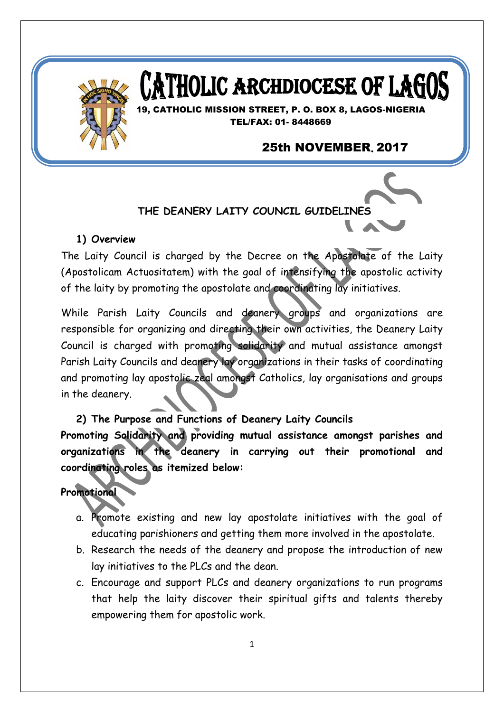

# **ATHOLIC ARCHDIOCESE OF LAG**

19, CATHOLIC MISSION STREET, P. O. BOX 8, LAGOS-NIGERIA TEL/FAX: 01- 8448669

# **25th NOVEMBER, 2017**

**THE DEANERY LAITY COUNCIL GUIDELINES**

#### **1) Overview**

The Laity Council is charged by the Decree on the Apostolate of the Laity (Apostolicam Actuositatem) with the goal of intensifying the apostolic activity of the laity by promoting the apostolate and coordinating lay initiatives.

While Parish Laity Councils and deanery groups and organizations are responsible for organizing and directing their own activities, the Deanery Laity Council is charged with promoting solidarity and mutual assistance amongst Parish Laity Councils and deanery lay organizations in their tasks of coordinating and promoting lay apostolic zeal amongst Catholics, lay organisations and groups in the deanery.

**2) The Purpose and Functions of Deanery Laity Councils**

**Promoting Solidarity and providing mutual assistance amongst parishes and organizations in the deanery in carrying out their promotional and coordinating roles as itemized below:**

## **Promotional**

- a. Promote existing and new lay apostolate initiatives with the goal of educating parishioners and getting them more involved in the apostolate.
- b. Research the needs of the deanery and propose the introduction of new lay initiatives to the PLCs and the dean.
- c. Encourage and support PLCs and deanery organizations to run programs that help the laity discover their spiritual gifts and talents thereby empowering them for apostolic work.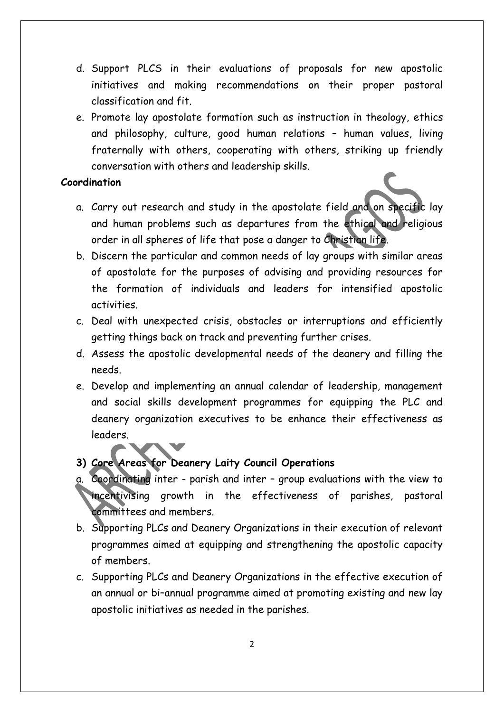- d. Support PLCS in their evaluations of proposals for new apostolic initiatives and making recommendations on their proper pastoral classification and fit.
- e. Promote lay apostolate formation such as instruction in theology, ethics and philosophy, culture, good human relations – human values, living fraternally with others, cooperating with others, striking up friendly conversation with others and leadership skills.

#### **Coordination**

- a. Carry out research and study in the apostolate field and on specific lay and human problems such as departures from the ethical and religious order in all spheres of life that pose a danger to Christian life.
- b. Discern the particular and common needs of lay groups with similar areas of apostolate for the purposes of advising and providing resources for the formation of individuals and leaders for intensified apostolic activities.
- c. Deal with unexpected crisis, obstacles or interruptions and efficiently getting things back on track and preventing further crises.
- d. Assess the apostolic developmental needs of the deanery and filling the needs.
- e. Develop and implementing an annual calendar of leadership, management and social skills development programmes for equipping the PLC and deanery organization executives to be enhance their effectiveness as leaders.

#### **3) Core Areas for Deanery Laity Council Operations**

- a. Coordinating inter parish and inter group evaluations with the view to incentivising growth in the effectiveness of parishes, pastoral committees and members.
- b. Supporting PLCs and Deanery Organizations in their execution of relevant programmes aimed at equipping and strengthening the apostolic capacity of members.
- c. Supporting PLCs and Deanery Organizations in the effective execution of an annual or bi–annual programme aimed at promoting existing and new lay apostolic initiatives as needed in the parishes.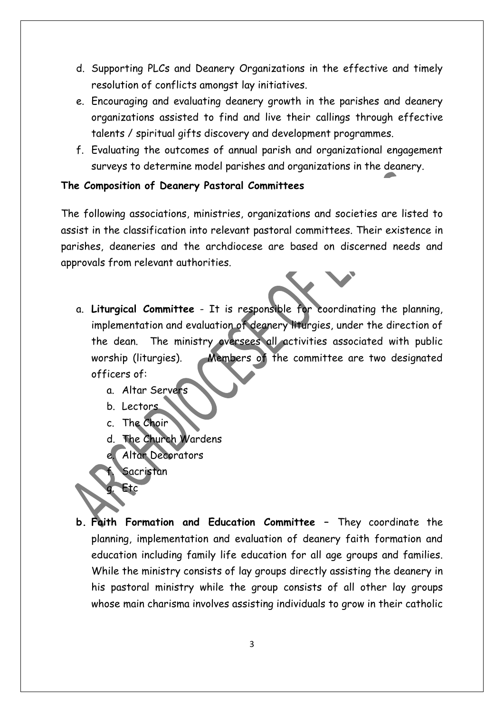- d. Supporting PLCs and Deanery Organizations in the effective and timely resolution of conflicts amongst lay initiatives.
- e. Encouraging and evaluating deanery growth in the parishes and deanery organizations assisted to find and live their callings through effective talents / spiritual gifts discovery and development programmes.
- f. Evaluating the outcomes of annual parish and organizational engagement surveys to determine model parishes and organizations in the deanery.

#### **The Composition of Deanery Pastoral Committees**

The following associations, ministries, organizations and societies are listed to assist in the classification into relevant pastoral committees. Their existence in parishes, deaneries and the archdiocese are based on discerned needs and approvals from relevant authorities.

- a. **Liturgical Committee** It is responsible for coordinating the planning, implementation and evaluation of deanery liturgies, under the direction of the dean. The ministry oversees all activities associated with public worship (liturgies). Members of the committee are two designated officers of:
	- a. Altar Servers
	- b. Lectors
	- c. The Choir
	- d. The Church Wardens
	- Altar Decorators
	- Sacristan

Etc

**b. Faith Formation and Education Committee –** They coordinate the planning, implementation and evaluation of deanery faith formation and education including family life education for all age groups and families. While the ministry consists of lay groups directly assisting the deanery in his pastoral ministry while the group consists of all other lay groups whose main charisma involves assisting individuals to grow in their catholic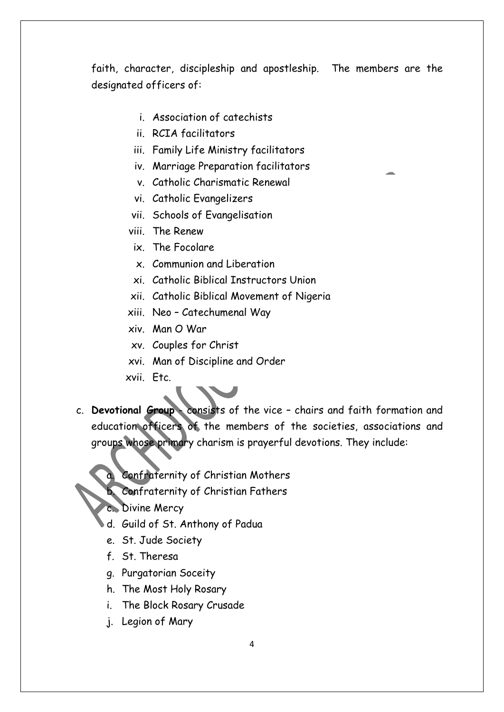faith, character, discipleship and apostleship. The members are the designated officers of:

- i. Association of catechists
- ii. RCIA facilitators
- iii. Family Life Ministry facilitators
- iv. Marriage Preparation facilitators
- v. Catholic Charismatic Renewal
- vi. Catholic Evangelizers
- vii. Schools of Evangelisation
- viii. The Renew
- ix. The Focolare
- x. Communion and Liberation
- xi. Catholic Biblical Instructors Union
- xii. Catholic Biblical Movement of Nigeria
- xiii. Neo Catechumenal Way
- xiv. Man O War
- xv. Couples for Christ
- xvi. Man of Discipline and Order
- xvii. Etc.
- c. **Devotional Group** consists of the vice chairs and faith formation and education officers of the members of the societies, associations and groups whose primary charism is prayerful devotions. They include:
	- a. Confraternity of Christian Mothers
	- b. Confraternity of Christian Fathers
	- c. Divine Mercy
	- d. Guild of St. Anthony of Padua
	- e. St. Jude Society
	- f. St. Theresa
	- g. Purgatorian Soceity
	- h. The Most Holy Rosary
	- i. The Block Rosary Crusade
	- j. Legion of Mary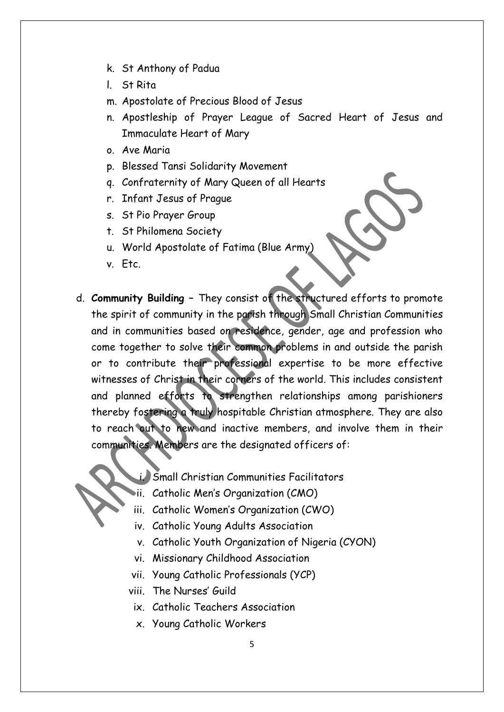- k. St Anthony of Padua
- l. St Rita

m. Apostolate of Precious Blood of Jesus

- n. Apostleship of Prayer League of Sacred Heart of Jesus and Immaculate Heart of Mary
- o. Ave Maria
- p. Blessed Tansi Solidarity Movement
- q. Confraternity of Mary Queen of all Hearts
- r. Infant Jesus of Prague
- s. St Pio Prayer Group
- t. St Philomena Society
- u. World Apostolate of Fatima (Blue Army)
- v. Etc.
- d. **Community Building –** They consist of the structured efforts to promote the spirit of community in the parish through Small Christian Communities and in communities based on residence, gender, age and profession who come together to solve their common problems in and outside the parish or to contribute their professional expertise to be more effective witnesses of Christ in their corners of the world. This includes consistent and planned efforts to strengthen relationships among parishioners thereby fostering a truly hospitable Christian atmosphere. They are also to reach out to new and inactive members, and involve them in their communities. Members are the designated officers of:
	- i. Small Christian Communities Facilitators
	- ii. Catholic Men's Organization (CMO)
	- iii. Catholic Women's Organization (CWO)
	- iv. Catholic Young Adults Association
	- v. Catholic Youth Organization of Nigeria (CYON)
	- vi. Missionary Childhood Association
	- vii. Young Catholic Professionals (YCP)
	- viii. The Nurses' Guild
		- ix. Catholic Teachers Association
		- x. Young Catholic Workers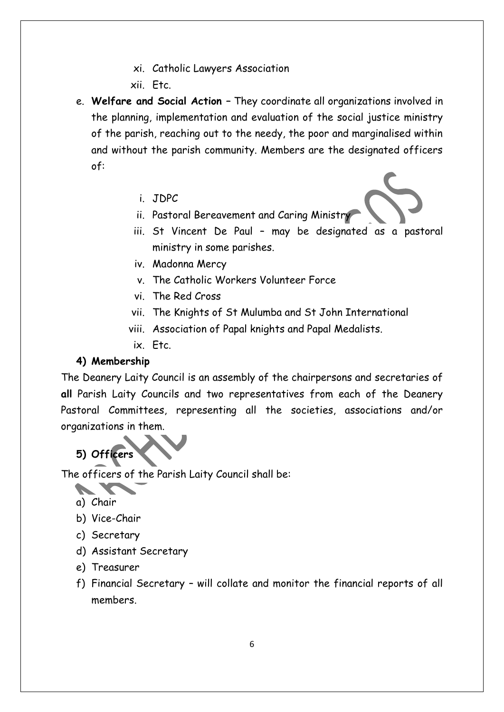- xi. Catholic Lawyers Association
- xii. Etc.
- e. **Welfare and Social Action –** They coordinate all organizations involved in the planning, implementation and evaluation of the social justice ministry of the parish, reaching out to the needy, the poor and marginalised within and without the parish community. Members are the designated officers of:
	- i. JDPC
	- ii. Pastoral Bereavement and Caring Ministry
	- iii. St Vincent De Paul may be designated as a pastoral ministry in some parishes.
	- iv. Madonna Mercy
	- v. The Catholic Workers Volunteer Force
	- vi. The Red Cross
	- vii. The Knights of St Mulumba and St John International
	- viii. Association of Papal knights and Papal Medalists.
	- ix. Etc.

#### **4) Membership**

The Deanery Laity Council is an assembly of the chairpersons and secretaries of **all** Parish Laity Councils and two representatives from each of the Deanery Pastoral Committees, representing all the societies, associations and/or organizations in them.

# **5) Officers**

The officers of the Parish Laity Council shall be:

**Contract Contract Contract** 

- b) Vice-Chair
- c) Secretary
- d) Assistant Secretary
- e) Treasurer
- f) Financial Secretary will collate and monitor the financial reports of all members.

a) Chair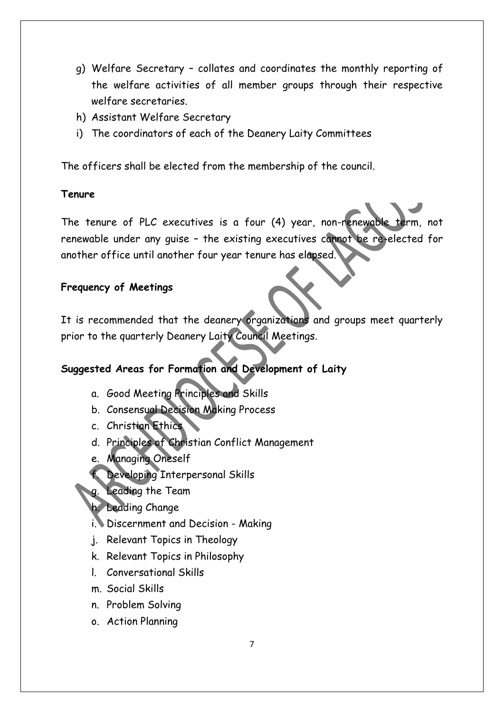- g) Welfare Secretary collates and coordinates the monthly reporting of the welfare activities of all member groups through their respective welfare secretaries.
- h) Assistant Welfare Secretary
- i) The coordinators of each of the Deanery Laity Committees

The officers shall be elected from the membership of the council.

#### **Tenure**

The tenure of PLC executives is a four (4) year, non-renewable term, not renewable under any guise – the existing executives cannot be re-elected for another office until another four year tenure has elapsed.

## **Frequency of Meetings**

It is recommended that the deanery organizations and groups meet quarterly prior to the quarterly Deanery Laity Council Meetings.

# **Suggested Areas for Formation and Development of Laity**

- a. Good Meeting Principles and Skills
- b. Consensual Decision Making Process
- c. Christian Ethics
- d. Principles of Christian Conflict Management
- e. Managing Oneself
- f. Developing Interpersonal Skills
- g. Leading the Team
- h. Leading Change
- i. Discernment and Decision Making
- j. Relevant Topics in Theology
- k. Relevant Topics in Philosophy
- l. Conversational Skills
- m. Social Skills
- n. Problem Solving
- o. Action Planning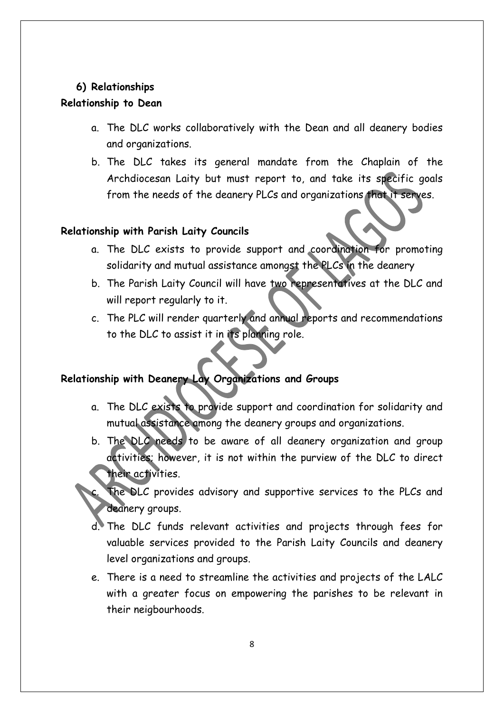#### **6) Relationships**

#### **Relationship to Dean**

- a. The DLC works collaboratively with the Dean and all deanery bodies and organizations.
- b. The DLC takes its general mandate from the Chaplain of the Archdiocesan Laity but must report to, and take its specific goals from the needs of the deanery PLCs and organizations that it serves.

### **Relationship with Parish Laity Councils**

- a. The DLC exists to provide support and coordination for promoting solidarity and mutual assistance amongst the PLCs in the deanery
- b. The Parish Laity Council will have two representatives at the DLC and will report regularly to it.
- c. The PLC will render quarterly and annual reports and recommendations to the DLC to assist it in its planning role.

# **Relationship with Deanery Lay Organizations and Groups**

- a. The DLC exists to provide support and coordination for solidarity and mutual assistance among the deanery groups and organizations.
- b. The DLC needs to be aware of all deanery organization and group activities; however, it is not within the purview of the DLC to direct their activities.
- The DLC provides advisory and supportive services to the PLCs and deanery groups.
- d. The DLC funds relevant activities and projects through fees for valuable services provided to the Parish Laity Councils and deanery level organizations and groups.
- e. There is a need to streamline the activities and projects of the LALC with a greater focus on empowering the parishes to be relevant in their neigbourhoods.